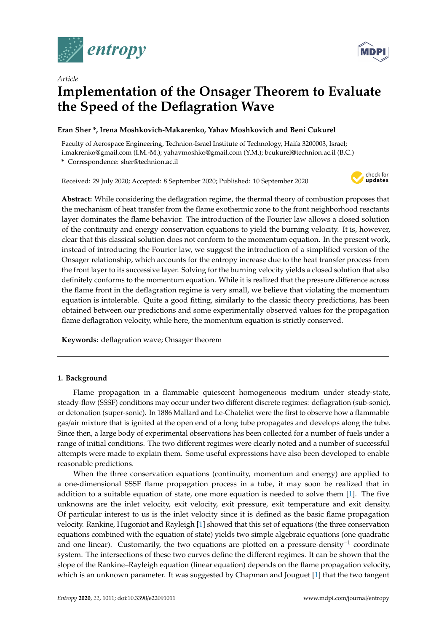

*Article*

# **Implementation of the Onsager Theorem to Evaluate the Speed of the Deflagration Wave**

### **Eran Sher \*, Irena Moshkovich-Makarenko, Yahav Moshkovich and Beni Cukurel**

Faculty of Aerospace Engineering, Technion-Israel Institute of Technology, Haifa 3200003, Israel; i.makrenko@gmail.com (I.M.-M.); yahavmoshko@gmail.com (Y.M.); bcukurel@technion.ac.il (B.C.)

**\*** Correspondence: sher@technion.ac.il

Received: 29 July 2020; Accepted: 8 September 2020; Published: 10 September 2020



**Abstract:** While considering the deflagration regime, the thermal theory of combustion proposes that the mechanism of heat transfer from the flame exothermic zone to the front neighborhood reactants layer dominates the flame behavior. The introduction of the Fourier law allows a closed solution of the continuity and energy conservation equations to yield the burning velocity. It is, however, clear that this classical solution does not conform to the momentum equation. In the present work, instead of introducing the Fourier law, we suggest the introduction of a simplified version of the Onsager relationship, which accounts for the entropy increase due to the heat transfer process from the front layer to its successive layer. Solving for the burning velocity yields a closed solution that also definitely conforms to the momentum equation. While it is realized that the pressure difference across the flame front in the deflagration regime is very small, we believe that violating the momentum equation is intolerable. Quite a good fitting, similarly to the classic theory predictions, has been obtained between our predictions and some experimentally observed values for the propagation flame deflagration velocity, while here, the momentum equation is strictly conserved.

**Keywords:** deflagration wave; Onsager theorem

#### **1. Background**

Flame propagation in a flammable quiescent homogeneous medium under steady-state, steady-flow (SSSF) conditions may occur under two different discrete regimes: deflagration (sub-sonic), or detonation (super-sonic). In 1886 Mallard and Le-Chateliet were the first to observe how a flammable gas/air mixture that is ignited at the open end of a long tube propagates and develops along the tube. Since then, a large body of experimental observations has been collected for a number of fuels under a range of initial conditions. The two different regimes were clearly noted and a number of successful attempts were made to explain them. Some useful expressions have also been developed to enable reasonable predictions.

When the three conservation equations (continuity, momentum and energy) are applied to a one-dimensional SSSF flame propagation process in a tube, it may soon be realized that in addition to a suitable equation of state, one more equation is needed to solve them [\[1\]](#page-6-0). The five unknowns are the inlet velocity, exit velocity, exit pressure, exit temperature and exit density. Of particular interest to us is the inlet velocity since it is defined as the basic flame propagation velocity. Rankine, Hugoniot and Rayleigh [\[1\]](#page-6-0) showed that this set of equations (the three conservation equations combined with the equation of state) yields two simple algebraic equations (one quadratic and one linear). Customarily, the two equations are plotted on a pressure-density−<sup>1</sup> coordinate system. The intersections of these two curves define the different regimes. It can be shown that the slope of the Rankine–Rayleigh equation (linear equation) depends on the flame propagation velocity, which is an unknown parameter. It was suggested by Chapman and Jouguet [\[1\]](#page-6-0) that the two tangent

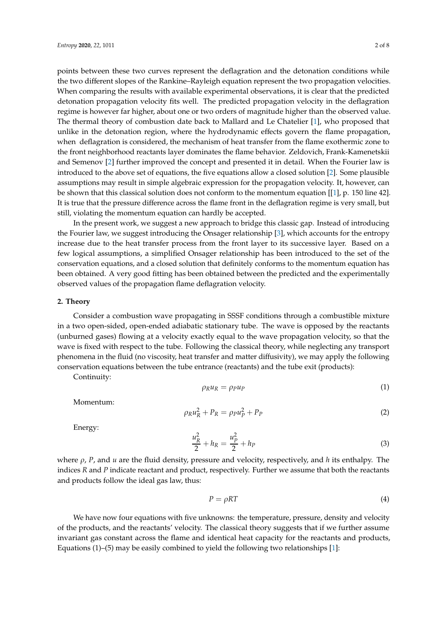points between these two curves represent the deflagration and the detonation conditions while the two different slopes of the Rankine–Rayleigh equation represent the two propagation velocities. When comparing the results with available experimental observations, it is clear that the predicted detonation propagation velocity fits well. The predicted propagation velocity in the deflagration regime is however far higher, about one or two orders of magnitude higher than the observed value. The thermal theory of combustion date back to Mallard and Le Chatelier [\[1\]](#page-6-0), who proposed that unlike in the detonation region, where the hydrodynamic effects govern the flame propagation, when deflagration is considered, the mechanism of heat transfer from the flame exothermic zone to the front neighborhood reactants layer dominates the flame behavior. Zeldovich, Frank-Kamenetskii and Semenov [\[2\]](#page-6-1) further improved the concept and presented it in detail. When the Fourier law is introduced to the above set of equations, the five equations allow a closed solution [\[2\]](#page-6-1). Some plausible assumptions may result in simple algebraic expression for the propagation velocity. It, however, can be shown that this classical solution does not conform to the momentum equation [[\[1\]](#page-6-0), p. 150 line 42]. It is true that the pressure difference across the flame front in the deflagration regime is very small, but still, violating the momentum equation can hardly be accepted.

In the present work, we suggest a new approach to bridge this classic gap. Instead of introducing the Fourier law, we suggest introducing the Onsager relationship [\[3\]](#page-6-2), which accounts for the entropy increase due to the heat transfer process from the front layer to its successive layer. Based on a few logical assumptions, a simplified Onsager relationship has been introduced to the set of the conservation equations, and a closed solution that definitely conforms to the momentum equation has been obtained. A very good fitting has been obtained between the predicted and the experimentally observed values of the propagation flame deflagration velocity.

#### **2. Theory**

Consider a combustion wave propagating in SSSF conditions through a combustible mixture in a two open-sided, open-ended adiabatic stationary tube. The wave is opposed by the reactants (unburned gases) flowing at a velocity exactly equal to the wave propagation velocity, so that the wave is fixed with respect to the tube. Following the classical theory, while neglecting any transport phenomena in the fluid (no viscosity, heat transfer and matter diffusivity), we may apply the following conservation equations between the tube entrance (reactants) and the tube exit (products):

Continuity:

$$
\rho_R u_R = \rho_P u_P \tag{1}
$$

Momentum:

$$
\rho_R u_R^2 + P_R = \rho_P u_P^2 + P_P \tag{2}
$$

Energy:

$$
\frac{u_R^2}{2} + h_R = \frac{u_P^2}{2} + h_P \tag{3}
$$

where ρ, *P*, and *u* are the fluid density, pressure and velocity, respectively, and *h* its enthalpy. The indices *R* and *P* indicate reactant and product, respectively. Further we assume that both the reactants and products follow the ideal gas law, thus:

$$
P = \rho RT \tag{4}
$$

We have now four equations with five unknowns: the temperature, pressure, density and velocity of the products, and the reactants' velocity. The classical theory suggests that if we further assume invariant gas constant across the flame and identical heat capacity for the reactants and products, Equations (1)–(5) may be easily combined to yield the following two relationships [\[1\]](#page-6-0):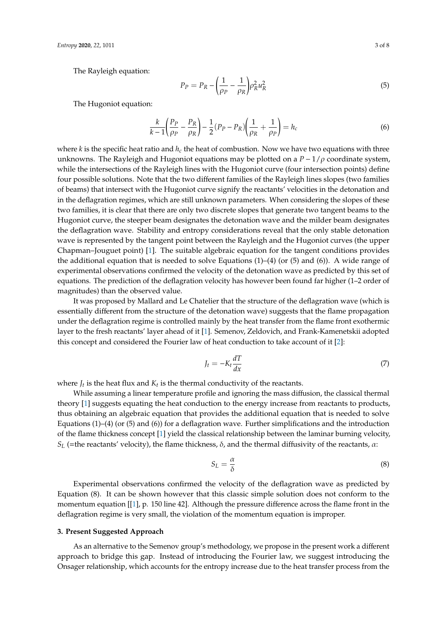The Rayleigh equation:

$$
P_P = P_R - \left(\frac{1}{\rho_P} - \frac{1}{\rho_R}\right) \rho_R^2 u_R^2
$$
\n(5)

The Hugoniot equation:

$$
\frac{k}{k-1}\left(\frac{P_P}{\rho_P} - \frac{P_R}{\rho_R}\right) - \frac{1}{2}(P_P - P_R)\left(\frac{1}{\rho_R} + \frac{1}{\rho_P}\right) = h_c
$$
\n<sup>(6)</sup>

where *k* is the specific heat ratio and  $h_c$  the heat of combustion. Now we have two equations with three unknowns. The Rayleigh and Hugoniot equations may be plotted on a *P* − 1/ρ coordinate system, while the intersections of the Rayleigh lines with the Hugoniot curve (four intersection points) define four possible solutions. Note that the two different families of the Rayleigh lines slopes (two families of beams) that intersect with the Hugoniot curve signify the reactants' velocities in the detonation and in the deflagration regimes, which are still unknown parameters. When considering the slopes of these two families, it is clear that there are only two discrete slopes that generate two tangent beams to the Hugoniot curve, the steeper beam designates the detonation wave and the milder beam designates the deflagration wave. Stability and entropy considerations reveal that the only stable detonation wave is represented by the tangent point between the Rayleigh and the Hugoniot curves (the upper Chapman–Jouguet point) [\[1\]](#page-6-0). The suitable algebraic equation for the tangent conditions provides the additional equation that is needed to solve Equations  $(1)$ – $(4)$  (or  $(5)$  and  $(6)$ ). A wide range of experimental observations confirmed the velocity of the detonation wave as predicted by this set of equations. The prediction of the deflagration velocity has however been found far higher (1–2 order of magnitudes) than the observed value.

It was proposed by Mallard and Le Chatelier that the structure of the deflagration wave (which is essentially different from the structure of the detonation wave) suggests that the flame propagation under the deflagration regime is controlled mainly by the heat transfer from the flame front exothermic layer to the fresh reactants' layer ahead of it [\[1\]](#page-6-0). Semenov, Zeldovich, and Frank-Kamenetskii adopted this concept and considered the Fourier law of heat conduction to take account of it [\[2\]](#page-6-1):

$$
J_t = -K_t \frac{dT}{dx} \tag{7}
$$

where  $J_t$  is the heat flux and  $K_t$  is the thermal conductivity of the reactants.

While assuming a linear temperature profile and ignoring the mass diffusion, the classical thermal theory [\[1\]](#page-6-0) suggests equating the heat conduction to the energy increase from reactants to products, thus obtaining an algebraic equation that provides the additional equation that is needed to solve Equations  $(1)$ –(4) (or (5) and (6)) for a deflagration wave. Further simplifications and the introduction of the flame thickness concept [\[1\]](#page-6-0) yield the classical relationship between the laminar burning velocity, *S*<sub>*L*</sub> (=the reactants' velocity), the flame thickness,  $\delta$ , and the thermal diffusivity of the reactants,  $\alpha$ :

$$
S_L = \frac{\alpha}{\delta} \tag{8}
$$

Experimental observations confirmed the velocity of the deflagration wave as predicted by Equation (8). It can be shown however that this classic simple solution does not conform to the momentum equation [[\[1\]](#page-6-0), p. 150 line 42]. Although the pressure difference across the flame front in the deflagration regime is very small, the violation of the momentum equation is improper.

#### **3. Present Suggested Approach**

As an alternative to the Semenov group's methodology, we propose in the present work a different approach to bridge this gap. Instead of introducing the Fourier law, we suggest introducing the Onsager relationship, which accounts for the entropy increase due to the heat transfer process from the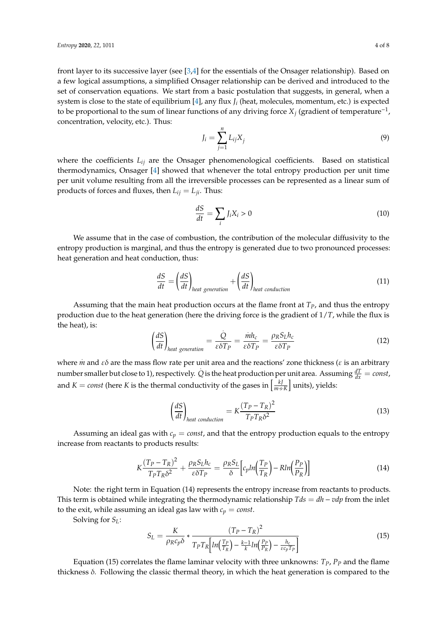front layer to its successive layer (see [\[3,](#page-6-2)[4\]](#page-6-3) for the essentials of the Onsager relationship). Based on a few logical assumptions, a simplified Onsager relationship can be derived and introduced to the set of conservation equations. We start from a basic postulation that suggests, in general, when a system is close to the state of equilibrium [\[4\]](#page-6-3), any flux *J<sup>i</sup>* (heat, molecules, momentum, etc.) is expected to be proportional to the sum of linear functions of any driving force  $X_j$  (gradient of temperature<sup>-1</sup>, concentration, velocity, etc.). Thus:

$$
J_i = \sum_{j=1}^n L_{ij} X_j \tag{9}
$$

where the coefficients *Lij* are the Onsager phenomenological coefficients. Based on statistical thermodynamics, Onsager [\[4\]](#page-6-3) showed that whenever the total entropy production per unit time per unit volume resulting from all the irreversible processes can be represented as a linear sum of products of forces and fluxes, then  $L_{ij} = L_{ji}$ . Thus:

$$
\frac{dS}{dt} = \sum_{i} J_i X_i > 0 \tag{10}
$$

We assume that in the case of combustion, the contribution of the molecular diffusivity to the entropy production is marginal, and thus the entropy is generated due to two pronounced processes: heat generation and heat conduction, thus:

$$
\frac{dS}{dt} = \left(\frac{dS}{dt}\right)_{heat\,\,generation} + \left(\frac{dS}{dt}\right)_{heat\,\,conduction} \tag{11}
$$

Assuming that the main heat production occurs at the flame front at *TP*, and thus the entropy production due to the heat generation (here the driving force is the gradient of 1/*T*, while the flux is the heat), is: .

$$
\left(\frac{dS}{dt}\right)_{heat\ generation} = \frac{\dot{Q}}{\varepsilon \delta T_P} = \frac{\dot{m}h_c}{\varepsilon \delta T_P} = \frac{\rho_R S_L h_c}{\varepsilon \delta T_P} \tag{12}
$$

where  $\dot{m}$  and  $\varepsilon\delta$  are the mass flow rate per unit area and the reactions' zone thickness ( $\varepsilon$  is an arbitrary number smaller but close to 1), respectively. Q is the heat production per unit area. Assuming  $\frac{dT}{dx} = const$ , and  $K = const$  (here K is the thermal conductivity of the gases in  $\left[\frac{kJ}{m·s·K}\right]$  units), yields:

$$
\left(\frac{dS}{dt}\right)_{heat\ conduction} = K \frac{(T_P - T_R)^2}{T_P T_R \delta^2}
$$
\n(13)

Assuming an ideal gas with *c<sup>p</sup>* = *const*, and that the entropy production equals to the entropy increase from reactants to products results:

$$
K\frac{(T_P - T_R)^2}{T_P T_R \delta^2} + \frac{\rho_R S_L h_c}{\varepsilon \delta T_P} = \frac{\rho_R S_L}{\delta} \Big[ c_p ln\Big(\frac{T_P}{T_R}\Big) - R ln\Big(\frac{P_P}{P_R}\Big) \Big]
$$
(14)

Note: the right term in Equation (14) represents the entropy increase from reactants to products. This term is obtained while integrating the thermodynamic relationship *Tds* = *dh* − *vdp* from the inlet to the exit, while assuming an ideal gas law with  $c_p = const$ .

Solving for *SL*:

$$
S_L = \frac{K}{\rho_R c_p \delta} * \frac{(T_P - T_R)^2}{T_P T_R \left[ ln\left(\frac{T_P}{T_R}\right) - \frac{k-1}{k} ln\left(\frac{P_P}{P_R}\right) - \frac{h_c}{\varepsilon c_p T_P} \right]}\tag{15}
$$

Equation (15) correlates the flame laminar velocity with three unknowns:  $T_p$ ,  $P_p$  and the flame thickness δ*.* Following the classic thermal theory, in which the heat generation is compared to the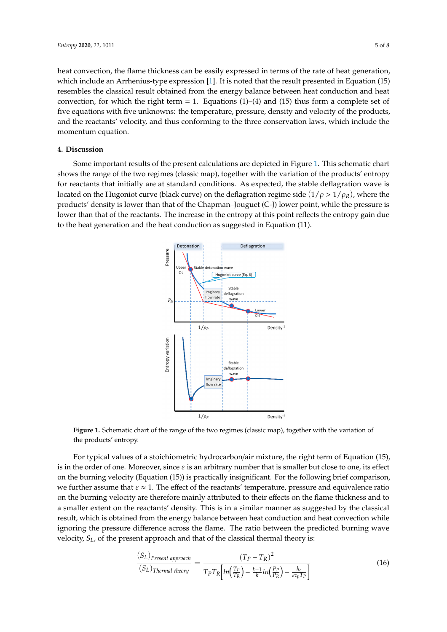heat convection, the flame thickness can be easily expressed in terms of the rate of heat generation, heat convection, the flame thickness can be easily expressed in terms of the rate of heat generation, which include an Arrhenius-type expression [\[1\]](#page-6-0). It is noted that the result presented in Equation (15) which include an Arrhenius-type expression [1]. It is noted that the result presented in Equation (15) resembles the classical result obtained from the energy balance between heat conduction and heat resembles the classical result obtained from the energy balance between heat conduction and heat convection, for which the right term  $= 1$ . Equations  $(1)$ – $(4)$  and  $(15)$  thus form a complete set of five equations with five unknowns: the temperature, pressure, density and velocity of the products, and the reactants' velocity, and thus conforming to the three conservation laws, which include the the reactants' velocity, and thus conforming to the three conservation laws, which include the momentum equation. momentum equation.

## **4. Discussion 4. Discussion**

<span id="page-4-0"></span>Some important results of the present calculations are depicted in Figure 1. This schematic chart Some important results of the present calculations are depicted in Figur[e 1](#page-4-0). This schematic chart shows the range of the two regimes (classic map), together with the variation of the products' entropy shows the range of the two regimes (classic map), together with the variation of the products' entropy for reactants that initially are at standard conditions. As expected, the stable deflagration wave is for reactants that initially are at standard conditions. As expected, the stable deflagration wave is located on the Hugoniot curve (black curve) on the deflagration regime side  $(1/\rho > 1/\rho_R)$ , where the products' density is lower than that of the Chapman–Jouguet (C-J) lower point, while the pressure is  $\,$ lower than that of the reactants. The increase in the entropy at this point reflects the entropy gain due to the heat generation and the heat conduction as suggested in Equation (11).



**Figure 1.** Schematic chart of the range of the two regimes (classic map), together with the variation of **Figure 1.** Schematic chart of the range of the two regimes (classic map), together with the variation of the products' entropy. the products' entropy.

For typical values of a stoichiometric hydrocarbon/air mixture, the right term of Equation (15), For typical values of a stoichiometric hydrocarbon/air mixture, the right term of Equation (15), is in the order of one. Moreover, since  $\varepsilon$  is an arbitrary number that is smaller but close to one, its effect on the burning velocity (Equation (15)) is practically insignificant. For the following brief comparison, we further assume that  $\varepsilon \approx 1$ . The effect of the reactants' temperature, pressure and equivalence ratio on the burning velocity are therefore mainly attributed to their effects on the flame thickness and to a smaller extent on the reactants' density. This is in a similar manner as suggested by the classical result, which is obtained from the energy balance between heat conduction and heat convection while ignoring the pressure difference across the flame. The ratio between the predicted burning wave velocity,  $S_L$ , of the present approach and that of the classical thermal theory is:

$$
\frac{(S_L)_{Present\ approach}}{(S_L)_{Thermal\ theory}} = \frac{(T_P - T_R)^2}{T_P T_R \left[ ln\left(\frac{T_P}{T_R}\right) - \frac{k-1}{k} ln\left(\frac{P_P}{P_R}\right) - \frac{h_c}{\varepsilon c_p T_P} \right]}\tag{16}
$$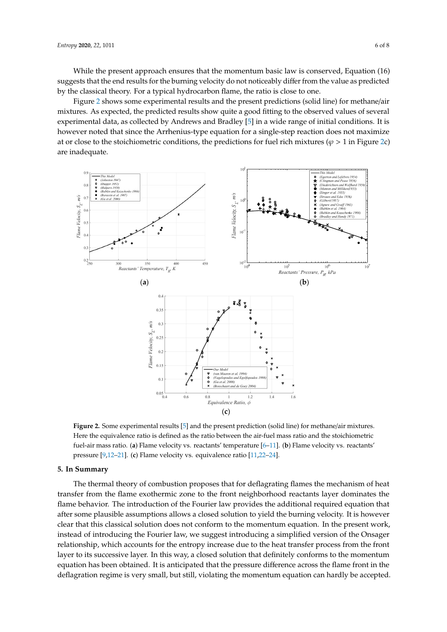While the present approach ensures that the momentum basic law is conserved, Equation (16) While the present approach ensures that the momentum basic law is conserved, Equation (16) suggests that the end results for the burning velocity do not noticeably differ from the value as predicted by the classical theory. For a typical hydrocarbon flame, the ratio is close to one.  $\frac{1}{2}$  predicted by the classical theory. For a typical hydrocarbon flame, the ratio is close to one. The ratio is close to one.

Figure [2](#page-5-0) shows some experimental results and the present predictions (solid line) for methane/air Figure 2 shows some experimental results and the present predictions (solid line) for mixtures. As expected, the predicted results show quite a good fitting to the observed values of several experimental data, as collected by Andrews and Bradley [\[5\]](#page-6-4) in a wide range of initial conditions. It is  $\epsilon$  however noted that since the Arrhenius-type equation for a single-step reaction does not maximize at or close to the stoichiometric conditions, the predictions for fuel rich mixtures ( $\varphi > 1$  in Figure [2c](#page-5-0)) are inadequate. 11 or crose to the stoleholderne

<span id="page-5-0"></span>

**Figure 2.** Some experimental res[ult](#page-6-4)s [5] and the present prediction (solid line) for methane/air **Figure 2.** Some experimental results [5] and the present prediction (solid line) for methane/air mixtures. Here the equivalence ratio is defined as the ratio between the air-fuel mass ratio and the stoichiometric fuel-air mass ratio. (a) Flame velocity vs. reactants' temperature  $[6-11]$  $[6-11]$ . (b) Flame velocity vs. reactants' pressure [\[9](#page-7-2)[,12–](#page-7-3)[21\]](#page-7-4). (**c**) Flame velocity vs. equivalence ratio [\[11,](#page-7-1)[22](#page-7-5)[–24\]](#page-7-6).

# **5. In Summary 5. In Summary**

The thermal theory of combustion proposes that for deflagrating flames the mechanism of heat transfer from the flame exothermic zone to the front neighborhood reactants layer dominates the transfer from the flame exothermic zone to the front neighborhood reactants layer dominates the flame behavior. The introduction of the Fourier law provides the additional required equation that flame behavior. The introduction of the Fourier law provides the additional required equation that after some plausible assumptions allows a closed solution to yield the burning velocity. It is however after some plausible assumptions allows a closed solution to yield the burning velocity. It is however clear that this classical solution does not conform to the momentum equation. In the present work, clear that this classical solution does not conform to the momentum equation. In the present work, instead of introducing the Fourier law, we suggest introducing a simplified version of the Onsager relationship, which accounts for the entropy increase due to the heat transfer process from the front relationship, relationship, which accounts for the entropy increase due to the heat transfer process from the front layer to its successive layer. In this way, a closed solution that definitely conforms to the momentum equation has been obtained. It is anticipated that the pressure difference across the flame front in the equation has been obtained. It is anticipated that the pressure difference across the flame front in the equation has been obtained. It is anticipated that the pressure difference across the flame front in the deflagration regime is very small, but still, violating the momentum equation can hardly be accepted. deflagration regime is very small, but still, violating the momentum equation can hardly be accepted.The thermal theory of combustion proposes that for deflagrating flames the mechanism of heat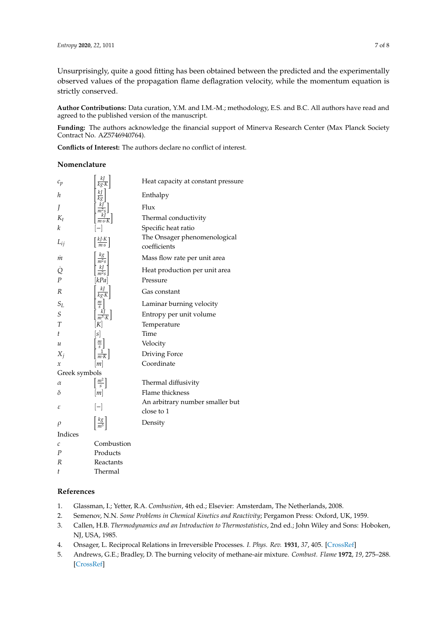Unsurprisingly, quite a good fitting has been obtained between the predicted and the experimentally observed values of the propagation flame deflagration velocity, while the momentum equation is strictly conserved.

**Author Contributions:** Data curation, Y.M. and I.M.-M.; methodology, E.S. and B.C. All authors have read and agreed to the published version of the manuscript.

**Funding:** The authors acknowledge the financial support of Minerva Research Center (Max Planck Society Contract No. AZ5746940764).

**Conflicts of Interest:** The authors declare no conflict of interest.

#### **Nomenclature**

| $c_p$            | kJ<br>$\overline{kg\cdot K}$               | Heat capacity at constant pressure            |
|------------------|--------------------------------------------|-----------------------------------------------|
| h                |                                            | Enthalpy                                      |
| J                | kJ                                         | Flux                                          |
| $K_t$            |                                            | Thermal conductivity                          |
| k                |                                            | Specific heat ratio                           |
| $L_{ij}$         | $\left[\frac{kJ\,K}{m\,s}\right]$          | The Onsager phenomenological<br>coefficients  |
| m                |                                            | Mass flow rate per unit area                  |
| Q                |                                            | Heat production per unit area                 |
| $\overline{P}$   | [kPa]                                      | Pressure                                      |
| $\boldsymbol{R}$ | $rac{kJ}{kg \cdot K}$                      | Gas constant                                  |
| $S_L$            | $\underline{m}$<br>$\mathcal{S}$           | Laminar burning velocity                      |
| S                | $\frac{kJ}{m^3\cdot K}$                    | Entropy per unit volume                       |
| T                | $K \vert$                                  | Temperature                                   |
| t                | s                                          | Time                                          |
| $\mathcal{U}$    | $\underline{m}$<br>$\bar{s}$               | Velocity                                      |
| $X_i$            |                                            | Driving Force                                 |
| $\mathcal{X}$    | m                                          | Coordinate                                    |
| Greek symbols    |                                            |                                               |
| $\alpha$         | $\left\lfloor \frac{m^2}{s} \right\rfloor$ | Thermal diffusivity                           |
| δ                | m                                          | Flame thickness                               |
| ε                | $ - $                                      | An arbitrary number smaller but<br>close to 1 |
| $\rho$           | $\frac{kg}{m^3}$                           | Density                                       |
| Indices          |                                            |                                               |
| с                | Combustion                                 |                                               |
| $\boldsymbol{P}$ | Products                                   |                                               |
| $\boldsymbol{R}$ | Reactants                                  |                                               |
| t                | Thermal                                    |                                               |

#### **References**

- <span id="page-6-0"></span>1. Glassman, I.; Yetter, R.A. *Combustion*, 4th ed.; Elsevier: Amsterdam, The Netherlands, 2008.
- <span id="page-6-1"></span>2. Semenov, N.N. *Some Problems in Chemical Kinetics and Reactivity*; Pergamon Press: Oxford, UK, 1959.
- <span id="page-6-2"></span>3. Callen, H.B. *Thermodynamics and an Introduction to Thermostatistics*, 2nd ed.; John Wiley and Sons: Hoboken, NJ, USA, 1985.
- <span id="page-6-3"></span>4. Onsager, L. Reciprocal Relations in Irreversible Processes. *I. Phys. Rev.* **1931**, *37*, 405. [\[CrossRef\]](http://dx.doi.org/10.1103/PhysRev.37.405)
- <span id="page-6-4"></span>5. Andrews, G.E.; Bradley, D. The burning velocity of methane-air mixture. *Combust. Flame* **1972**, *19*, 275–288. [\[CrossRef\]](http://dx.doi.org/10.1016/S0010-2180(72)80218-9)